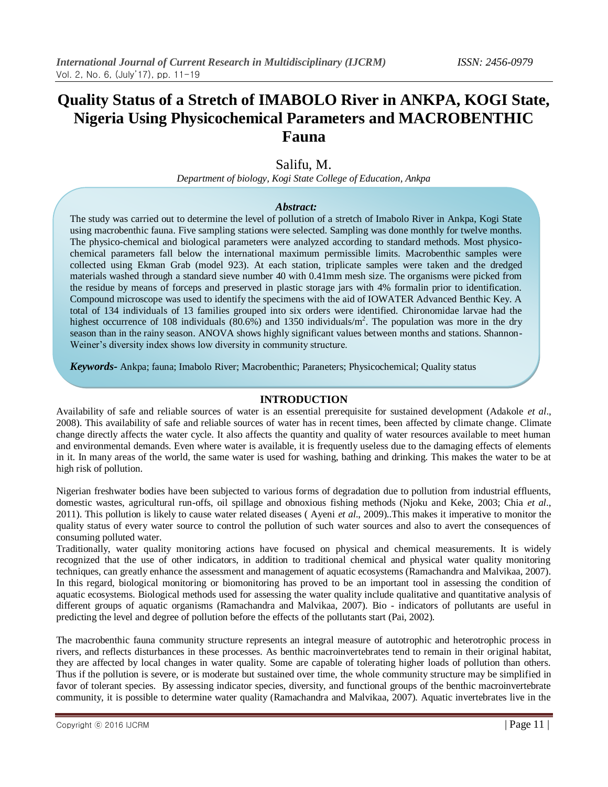# **Quality Status of a Stretch of IMABOLO River in ANKPA, KOGI State, Nigeria Using Physicochemical Parameters and MACROBENTHIC Fauna**

# Salifu, M.

*Department of biology, Kogi State College of Education, Ankpa*

#### *Abstract:*

The study was carried out to determine the level of pollution of a stretch of Imabolo River in Ankpa, Kogi State using macrobenthic fauna. Five sampling stations were selected. Sampling was done monthly for twelve months. The physico-chemical and biological parameters were analyzed according to standard methods. Most physicochemical parameters fall below the international maximum permissible limits. Macrobenthic samples were collected using Ekman Grab (model 923). At each station, triplicate samples were taken and the dredged materials washed through a standard sieve number 40 with 0.41mm mesh size. The organisms were picked from the residue by means of forceps and preserved in plastic storage jars with 4% formalin prior to identification. Compound microscope was used to identify the specimens with the aid of IOWATER Advanced Benthic Key. A total of 134 individuals of 13 families grouped into six orders were identified. Chironomidae larvae had the highest occurrence of 108 individuals (80.6%) and 1350 individuals/m<sup>2</sup>. The population was more in the dry season than in the rainy season. ANOVA shows highly significant values between months and stations. Shannon-Weiner's diversity index shows low diversity in community structure.

*Keywords-* Ankpa; fauna; Imabolo River; Macrobenthic; Paraneters; Physicochemical; Quality status

### **INTRODUCTION**

Availability of safe and reliable sources of water is an essential prerequisite for sustained development (Adakole *et al*., 2008). This availability of safe and reliable sources of water has in recent times, been affected by climate change. Climate change directly affects the water cycle. It also affects the quantity and quality of water resources available to meet human and environmental demands. Even where water is available, it is frequently useless due to the damaging effects of elements in it. In many areas of the world, the same water is used for washing, bathing and drinking. This makes the water to be at high risk of pollution.

Nigerian freshwater bodies have been subjected to various forms of degradation due to pollution from industrial effluents, domestic wastes, agricultural run-offs, oil spillage and obnoxious fishing methods (Njoku and Keke, 2003; Chia *et al*., 2011). This pollution is likely to cause water related diseases ( Ayeni *et al*., 2009)..This makes it imperative to monitor the quality status of every water source to control the pollution of such water sources and also to avert the consequences of consuming polluted water.

Traditionally, water quality monitoring actions have focused on physical and chemical measurements. It is widely recognized that the use of other indicators, in addition to traditional chemical and physical water quality monitoring techniques, can greatly enhance the assessment and management of aquatic ecosystems (Ramachandra and Malvikaa, 2007). In this regard, biological monitoring or biomonitoring has proved to be an important tool in assessing the condition of aquatic ecosystems. Biological methods used for assessing the water quality include qualitative and quantitative analysis of different groups of aquatic organisms (Ramachandra and Malvikaa, 2007). Bio - indicators of pollutants are useful in predicting the level and degree of pollution before the effects of the pollutants start (Pai, 2002).

The macrobenthic fauna community structure represents an integral measure of autotrophic and heterotrophic process in rivers, and reflects disturbances in these processes. As benthic macroinvertebrates tend to remain in their original habitat, they are affected by local changes in water quality. Some are capable of tolerating higher loads of pollution than others. Thus if the pollution is severe, or is moderate but sustained over time, the whole community structure may be simplified in favor of tolerant species. By assessing indicator species, diversity, and functional groups of the benthic macroinvertebrate community, it is possible to determine water quality (Ramachandra and Malvikaa, 2007). Aquatic invertebrates live in the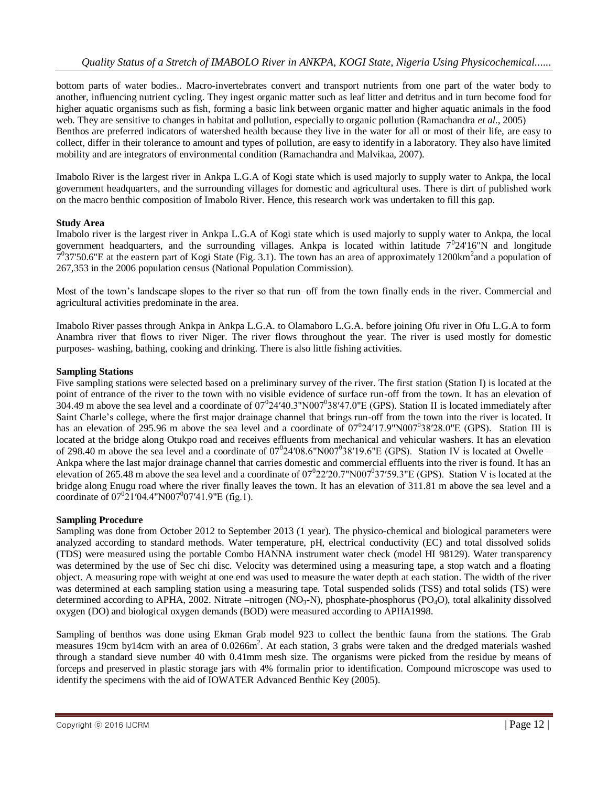bottom parts of water bodies.. Macro-invertebrates convert and transport nutrients from one part of the water body to another, influencing nutrient cycling. They ingest organic matter such as leaf litter and detritus and in turn become food for higher aquatic organisms such as fish, forming a basic link between organic matter and higher aquatic animals in the food web. They are sensitive to changes in habitat and pollution, especially to organic pollution (Ramachandra *et al*., 2005) Benthos are preferred indicators of watershed health because they live in the water for all or most of their life, are easy to collect, differ in their tolerance to amount and types of pollution, are easy to identify in a laboratory. They also have limited mobility and are integrators of environmental condition (Ramachandra and Malvikaa, 2007).

Imabolo River is the largest river in Ankpa L.G.A of Kogi state which is used majorly to supply water to Ankpa, the local government headquarters, and the surrounding villages for domestic and agricultural uses. There is dirt of published work on the macro benthic composition of Imabolo River. Hence, this research work was undertaken to fill this gap.

## **Study Area**

Imabolo river is the largest river in Ankpa L.G.A of Kogi state which is used majorly to supply water to Ankpa, the local government headquarters, and the surrounding villages. Ankpa is located within latitude  $7^024'16''N$  and longitude  $7^0$ 37'50.6"E at the eastern part of Kogi State (Fig. 3.1). The town has an area of approximately 1200km<sup>2</sup> and a population of 267,353 in the 2006 population census (National Population Commission).

Most of the town's landscape slopes to the river so that run–off from the town finally ends in the river. Commercial and agricultural activities predominate in the area.

Imabolo River passes through Ankpa in Ankpa L.G.A. to Olamaboro L.G.A. before joining Ofu river in Ofu L.G.A to form Anambra river that flows to river Niger. The river flows throughout the year. The river is used mostly for domestic purposes- washing, bathing, cooking and drinking. There is also little fishing activities.

#### **Sampling Stations**

Five sampling stations were selected based on a preliminary survey of the river. The first station (Station I) is located at the point of entrance of the river to the town with no visible evidence of surface run-off from the town. It has an elevation of 304.49 m above the sea level and a coordinate of  $07^024'40.3''N007^038'47.0''E$  (GPS). Station II is located immediately after Saint Charle's college, where the first major drainage channel that brings run-off from the town into the river is located. It has an elevation of 295.96 m above the sea level and a coordinate of  $07^024'17.9''N007^038'28.0''E$  (GPS). Station III is located at the bridge along Otukpo road and receives effluents from mechanical and vehicular washers. It has an elevation of 298.40 m above the sea level and a coordinate of  $07^024'08.6"N007^038'19.6"E$  (GPS). Station IV is located at Owelle – Ankpa where the last major drainage channel that carries domestic and commercial effluents into the river is found. It has an elevation of 265.48 m above the sea level and a coordinate of  $07^022'20.7"N007^037'59.3"E$  (GPS). Station V is located at the bridge along Enugu road where the river finally leaves the town. It has an elevation of 311.81 m above the sea level and a coordinate of  $07^{0}$ 21′04.4"N007<sup>0</sup>07′41.9"E (fig.1).

#### **Sampling Procedure**

Sampling was done from October 2012 to September 2013 (1 year). The physico-chemical and biological parameters were analyzed according to standard methods. Water temperature, pH, electrical conductivity (EC) and total dissolved solids (TDS) were measured using the portable Combo HANNA instrument water check (model HI 98129). Water transparency was determined by the use of Sec chi disc. Velocity was determined using a measuring tape, a stop watch and a floating object. A measuring rope with weight at one end was used to measure the water depth at each station. The width of the river was determined at each sampling station using a measuring tape. Total suspended solids (TSS) and total solids (TS) were determined according to APHA, 2002. Nitrate –nitrogen  $(NO_3-N)$ , phosphate-phosphorus  $(PO_4O)$ , total alkalinity dissolved oxygen (DO) and biological oxygen demands (BOD) were measured according to APHA1998.

Sampling of benthos was done using Ekman Grab model 923 to collect the benthic fauna from the stations. The Grab measures 19cm by14cm with an area of 0.0266m<sup>2</sup>. At each station, 3 grabs were taken and the dredged materials washed through a standard sieve number 40 with 0.41mm mesh size. The organisms were picked from the residue by means of forceps and preserved in plastic storage jars with 4% formalin prior to identification. Compound microscope was used to identify the specimens with the aid of IOWATER Advanced Benthic Key (2005).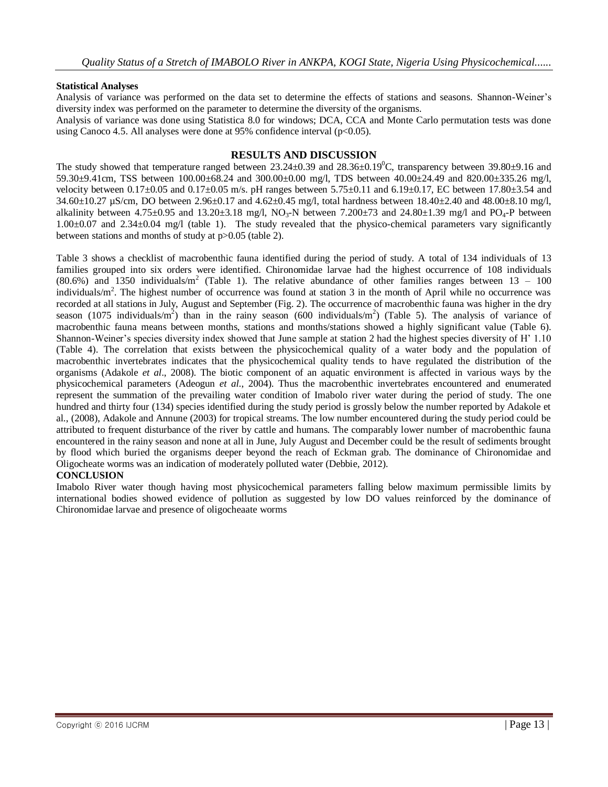#### **Statistical Analyses**

Analysis of variance was performed on the data set to determine the effects of stations and seasons. Shannon-Weiner's diversity index was performed on the parameter to determine the diversity of the organisms.

Analysis of variance was done using Statistica 8.0 for windows; DCA, CCA and Monte Carlo permutation tests was done using Canoco 4.5. All analyses were done at 95% confidence interval  $(p<0.05)$ .

#### **RESULTS AND DISCUSSION**

The study showed that temperature ranged between  $23.24\pm0.39$  and  $28.36\pm0.19^{\circ}$ C, transparency between  $39.80\pm9.16$  and 59.30±9.41cm, TSS between 100.00±68.24 and 300.00±0.00 mg/l, TDS between 40.00±24.49 and 820.00±335.26 mg/l, velocity between  $0.17\pm0.05$  and  $0.17\pm0.05$  m/s. pH ranges between  $5.75\pm0.11$  and  $6.19\pm0.17$ , EC between  $17.80\pm3.54$  and 34.60±10.27 µS/cm, DO between 2.96±0.17 and 4.62±0.45 mg/l, total hardness between 18.40±2.40 and 48.00±8.10 mg/l, alkalinity between 4.75±0.95 and 13.20±3.18 mg/l, NO<sub>3</sub>-N between 7.200±73 and 24.80±1.39 mg/l and PO<sub>4</sub>-P between 1.00±0.07 and 2.34±0.04 mg/l (table 1). The study revealed that the physico-chemical parameters vary significantly between stations and months of study at p>0.05 (table 2).

Table 3 shows a checklist of macrobenthic fauna identified during the period of study. A total of 134 individuals of 13 families grouped into six orders were identified. Chironomidae larvae had the highest occurrence of 108 individuals  $(80.6\%)$  and 1350 individuals/m<sup>2</sup> (Table 1). The relative abundance of other families ranges between 13 – 100 individuals/ $m^2$ . The highest number of occurrence was found at station 3 in the month of April while no occurrence was recorded at all stations in July, August and September (Fig. 2). The occurrence of macrobenthic fauna was higher in the dry season (1075 individuals/m<sup>2</sup>) than in the rainy season (600 individuals/m<sup>2</sup>) (Table 5). The analysis of variance of macrobenthic fauna means between months, stations and months/stations showed a highly significant value (Table 6). Shannon-Weiner's species diversity index showed that June sample at station 2 had the highest species diversity of H' 1.10 (Table 4). The correlation that exists between the physicochemical quality of a water body and the population of macrobenthic invertebrates indicates that the physicochemical quality tends to have regulated the distribution of the organisms (Adakole *et al*., 2008). The biotic component of an aquatic environment is affected in various ways by the physicochemical parameters (Adeogun *et al*., 2004). Thus the macrobenthic invertebrates encountered and enumerated represent the summation of the prevailing water condition of Imabolo river water during the period of study. The one hundred and thirty four (134) species identified during the study period is grossly below the number reported by Adakole et al., (2008), Adakole and Annune (2003) for tropical streams. The low number encountered during the study period could be attributed to frequent disturbance of the river by cattle and humans. The comparably lower number of macrobenthic fauna encountered in the rainy season and none at all in June, July August and December could be the result of sediments brought by flood which buried the organisms deeper beyond the reach of Eckman grab. The dominance of Chironomidae and Oligocheate worms was an indication of moderately polluted water (Debbie, 2012).

#### **CONCLUSION**

Imabolo River water though having most physicochemical parameters falling below maximum permissible limits by international bodies showed evidence of pollution as suggested by low DO values reinforced by the dominance of Chironomidae larvae and presence of oligocheaate worms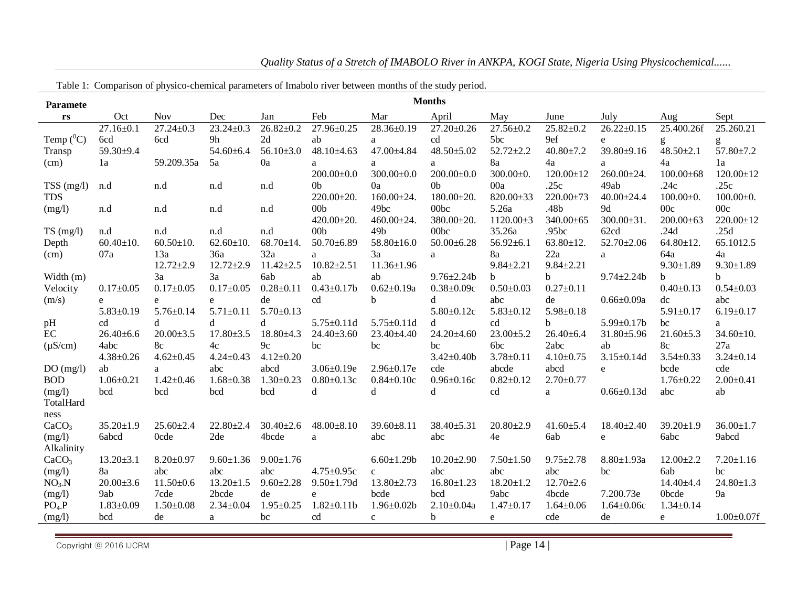| Table 1: Comparison of physico-chemical parameters of Imabolo river between months of the study period. |                 |                 |                 |                 |                   |                   |                  |                 |                 |                   |                 |                   |
|---------------------------------------------------------------------------------------------------------|-----------------|-----------------|-----------------|-----------------|-------------------|-------------------|------------------|-----------------|-----------------|-------------------|-----------------|-------------------|
| <b>Paramete</b>                                                                                         |                 |                 |                 |                 |                   |                   | <b>Months</b>    |                 |                 |                   |                 |                   |
| rs                                                                                                      | Oct             | <b>Nov</b>      | Dec             | Jan             | Feb               | Mar               | April            | May             | June            | July              | Aug             | Sept              |
|                                                                                                         | $27.16 \pm 0.1$ | $27.24 \pm 0.3$ | $23.24 \pm 0.3$ | $26.82 \pm 0.2$ | 27.96±0.25        | 28.36±0.19        | $27.20 \pm 0.26$ | $27.56 \pm 0.2$ | $25.82 \pm 0.2$ | $26.22 \pm 0.15$  | 25.400.26f      | 25.260.21         |
| Temp $(^0C)$                                                                                            | 6cd             | 6cd             | 9h              | 2d              | ab                | a                 | cd               | 5bc             | 9ef             | e                 | g               | g                 |
| Transp                                                                                                  | 59.30±9.4       |                 | $54.60\pm 6.4$  | $56.10{\pm}3.0$ | $48.10\pm4.63$    | 47.00±4.84        | $48.50 \pm 5.02$ | $52.72 \pm 2.2$ | $40.80 \pm 7.2$ | 39.80±9.16        | $48.50 \pm 2.1$ | 57.80±7.2         |
| (cm)                                                                                                    | 1a              | 59.209.35a      | 5a              | 0a              | a                 | a                 | a                | 8a              | 4a              | a                 | 4a              | 1a                |
|                                                                                                         |                 |                 |                 |                 | $200.00 \pm 0.0$  | $300.00 \pm 0.0$  | $200.00 \pm 0.0$ | $300.00 \pm 0.$ | $120.00 \pm 12$ | $260.00 \pm 24.$  | $100.00\pm 68$  | $120.00 \pm 12$   |
| TSS (mg/l)                                                                                              | n.d             | n.d             | n.d             | n.d             | 0 <sub>b</sub>    | 0a                | 0 <sub>b</sub>   | 00a             | .25c            | 49ab              | .24c            | .25c              |
| <b>TDS</b>                                                                                              |                 |                 |                 |                 | $220.00 \pm 20.$  | $160.00 \pm 24.$  | $180.00 \pm 20.$ | 820.00±33       | $220.00 \pm 73$ | $40.00 \pm 24.4$  | $100.00 \pm 0.$ | $100.00 \pm 0.$   |
| (mg/l)                                                                                                  | n.d             | n.d             | n.d             | n.d             | 00 <sub>b</sub>   | 49bc              | 00bc             | 5.26a           | .48b            | 9d                | 00c             | 00c               |
|                                                                                                         |                 |                 |                 |                 | $420.00 \pm 20.$  | $460.00 \pm 24.$  | $380.00 \pm 20.$ | $1120.00 \pm 3$ | 340.00±65       | $300.00 \pm 31.$  | $200.00 \pm 63$ | $220.00 \pm 12$   |
| TS(mg/l)                                                                                                | n.d             | n.d             | n.d             | n.d             | 00 <sub>b</sub>   | 49 <sub>b</sub>   | 00bc             | 35.26a          | .95bc           | 62cd              | .24d            | .25d              |
| Depth                                                                                                   | $60.40 \pm 10.$ | $60.50 \pm 10.$ | $62.60 \pm 10.$ | $68.70 \pm 14.$ | $50.70 \pm 6.89$  | $58.80 \pm 16.0$  | $50.00 \pm 6.28$ | $56.92 \pm 6.1$ | $63.80 \pm 12.$ | $52.70 \pm 2.06$  | $64.80 \pm 12.$ | 65.1012.5         |
| (cm)                                                                                                    | 07a             | 13a             | 36a             | 32a             | a                 | 3a                | a                | 8a              | 22a             | a                 | 64a             | 4a                |
|                                                                                                         |                 | $12.72 \pm 2.9$ | $12.72 \pm 2.9$ | $11.42 \pm 2.5$ | $10.82 \pm 2.51$  | $11.36 \pm 1.96$  |                  | $9.84 \pm 2.21$ | $9.84 \pm 2.21$ |                   | $9.30 \pm 1.89$ | $9.30 \pm 1.89$   |
| Width (m)                                                                                               |                 | 3a              | 3a              | 6ab             | ab                | ab                | $9.76 \pm 2.24$  | b.              | b               | $9.74 \pm 2.24$   | b               | b.                |
| Velocity                                                                                                | $0.17 \pm 0.05$ | $0.17 \pm 0.05$ | $0.17 \pm 0.05$ | $0.28 \pm 0.11$ | $0.43 \pm 0.17$ b | $0.62{\pm}0.19a$  | $0.38 \pm 0.09c$ | $0.50 \pm 0.03$ | $0.27 \pm 0.11$ |                   | $0.40 \pm 0.13$ | $0.54 \pm 0.03$   |
| (m/s)                                                                                                   | e               | e               | e               | de              | cd                | b                 | d                | abc             | de              | $0.66 \pm 0.09a$  | dc              | abc               |
|                                                                                                         | $5.83 \pm 0.19$ | $5.76 \pm 0.14$ | $5.71 \pm 0.11$ | $5.70 \pm 0.13$ |                   |                   | $5.80 \pm 0.12c$ | $5.83 \pm 0.12$ | $5.98 \pm 0.18$ |                   | $5.91 \pm 0.17$ | $6.19 \pm 0.17$   |
| pH                                                                                                      | cd              | d               | d               | d               | $5.75 \pm 0.11d$  | $5.75 \pm 0.11$ d | d                | cd              | b.              | $5.99 \pm 0.17$ b | bc              | a                 |
| EC                                                                                                      | $26.40\pm 6.6$  | $20.00 \pm 3.5$ | $17.80 \pm 3.5$ | $18.80{\pm}4.3$ | $24.40 \pm 3.60$  | 23.40±4.40        | 24.20±4.60       | $23.00 \pm 5.2$ | $26.40\pm 6.4$  | $31.80{\pm}5.96$  | $21.60 \pm 5.3$ | $34.60 \pm 10.$   |
| $(\mu S/cm)$                                                                                            | 4abc            | 8c              | 4c              | 9c              | bc                | bc                | bc               | 6bc             | 2abc            | ab                | 8c              | 27a               |
|                                                                                                         | $4.38 \pm 0.26$ | $4.62 \pm 0.45$ | $4.24 \pm 0.43$ | $4.12 \pm 0.20$ |                   |                   | $3.42 \pm 0.40$  | $3.78 \pm 0.11$ | $4.10 \pm 0.75$ | $3.15 \pm 0.14d$  | $3.54 \pm 0.33$ | $3.24 \pm 0.14$   |
| DO(mg/l)                                                                                                | ab              | a               | abc             | abcd            | $3.06 \pm 0.19e$  | $2.96 \pm 0.17$ e | cde              | abcde           | abcd            | e                 | bcde            | cde               |
| <b>BOD</b>                                                                                              | $1.06 \pm 0.21$ | $1.42 \pm 0.46$ | $1.68 \pm 0.38$ | $1.30 \pm 0.23$ | $0.80 \pm 0.13c$  | $0.84 \pm 0.10c$  | $0.96 \pm 0.16c$ | $0.82{\pm}0.12$ | $2.70 \pm 0.77$ |                   | $1.76 \pm 0.22$ | $2.00 \pm 0.41$   |
| (mg/l)<br>TotalHard                                                                                     | bcd             | bcd             | bcd             | bcd             | d                 | d                 | d                | cd              | a               | $0.66 \pm 0.13d$  | abc             | ab                |
|                                                                                                         |                 |                 |                 |                 |                   |                   |                  |                 |                 |                   |                 |                   |
| ness<br>CaCO <sub>3</sub>                                                                               | $35.20 \pm 1.9$ | $25.60 \pm 2.4$ | $22.80 \pm 2.4$ | $30.40 \pm 2.6$ | $48.00 \pm 8.10$  | $39.60 \pm 8.11$  | $38.40 \pm 5.31$ | $20.80 \pm 2.9$ | $41.60 \pm 5.4$ | $18.40{\pm}2.40$  | $39.20 \pm 1.9$ | $36.00 \pm 1.7$   |
|                                                                                                         | 6abcd           | <b>Ocde</b>     | 2de             | 4bcde           |                   | abc               | abc              | 4e              | 6ab             |                   | 6abc            | 9abcd             |
| (mg/l)<br>Alkalinity                                                                                    |                 |                 |                 |                 | a                 |                   |                  |                 |                 | $\mathbf e$       |                 |                   |
| CaCO <sub>3</sub>                                                                                       | $13.20 \pm 3.1$ | $8.20 \pm 0.97$ | $9.60 \pm 1.36$ | $9.00 \pm 1.76$ |                   | $6.60 \pm 1.29$ b | $10.20 \pm 2.90$ | $7.50 \pm 1.50$ | $9.75 \pm 2.78$ | $8.80 \pm 1.93a$  | $12.00 \pm 2.2$ | $7.20 \pm 1.16$   |
| (mg/l)                                                                                                  | 8a              | abc             | abc             | abc             | $4.75 \pm 0.95c$  | $\mathbf{C}$      | abc              | abc             | abc             | bc                | 6ab             | bc                |
| NO <sub>3</sub> N                                                                                       | $20.00 \pm 3.6$ | $11.50 \pm 0.6$ | $13.20 \pm 1.5$ | $9.60 \pm 2.28$ | $9.50 \pm 1.79$ d | $13.80 \pm 2.73$  | $16.80 \pm 1.23$ | $18.20 \pm 1.2$ | $12.70 \pm 2.6$ |                   | $14.40{\pm}4.4$ | $24.80 \pm 1.3$   |
| (mg/l)                                                                                                  | 9ab             | 7cde            | 2bcde           | de              | e                 | bcde              | bcd              | 9abc            | 4bcde           | 7.200.73e         | 0bcde           | 9a                |
| $PO4$ . $P$                                                                                             | $1.83 \pm 0.09$ | $1.50 \pm 0.08$ | $2.34 \pm 0.04$ | $1.95 \pm 0.25$ | $1.82 \pm 0.11$ b | $1.96 \pm 0.02b$  | $2.10 \pm 0.04a$ | $1.47 \pm 0.17$ | $1.64 \pm 0.06$ | $1.64 \pm 0.06c$  | $1.34 \pm 0.14$ |                   |
| (mg/l)                                                                                                  | bcd             | de              | a               | bc              | cd                | $\mathbf{C}$      | b                | e               | cde             | de                | $\mathbf{e}$    | $1.00 \pm 0.07$ f |
|                                                                                                         |                 |                 |                 |                 |                   |                   |                  |                 |                 |                   |                 |                   |

*Quality Status of a Stretch of IMABOLO River in ANKPA, KOGI State, Nigeria Using Physicochemical......*

Copyright © 2016 IJCRM  $\vert$  Page 14 |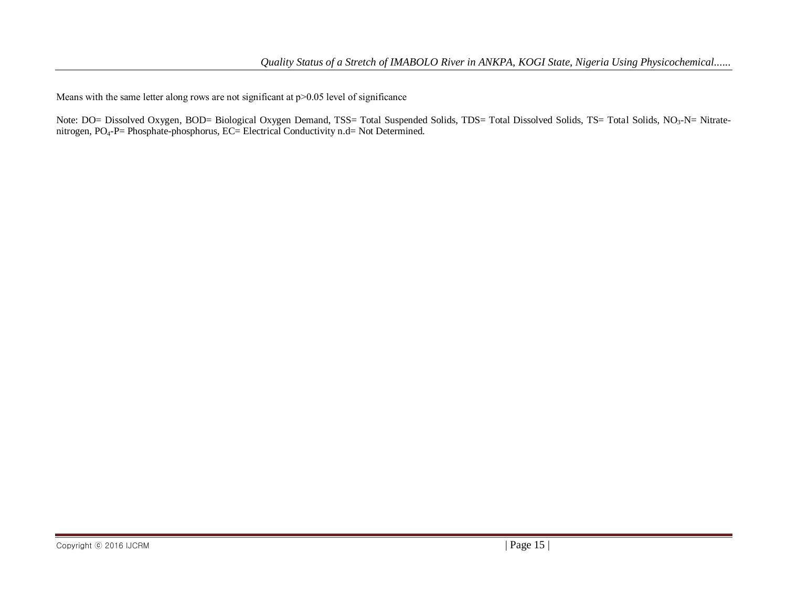Means with the same letter along rows are not significant at  $p$  > 0.05 level of significance

Note: DO= Dissolved Oxygen, BOD= Biological Oxygen Demand, TSS= Total Suspended Solids, TDS= Total Dissolved Solids, TS= Total Solids, NO<sub>3</sub>-N= Nitratenitrogen, PO<sub>4</sub>-P= Phosphate-phosphorus, EC= Electrical Conductivity n.d= Not Determined.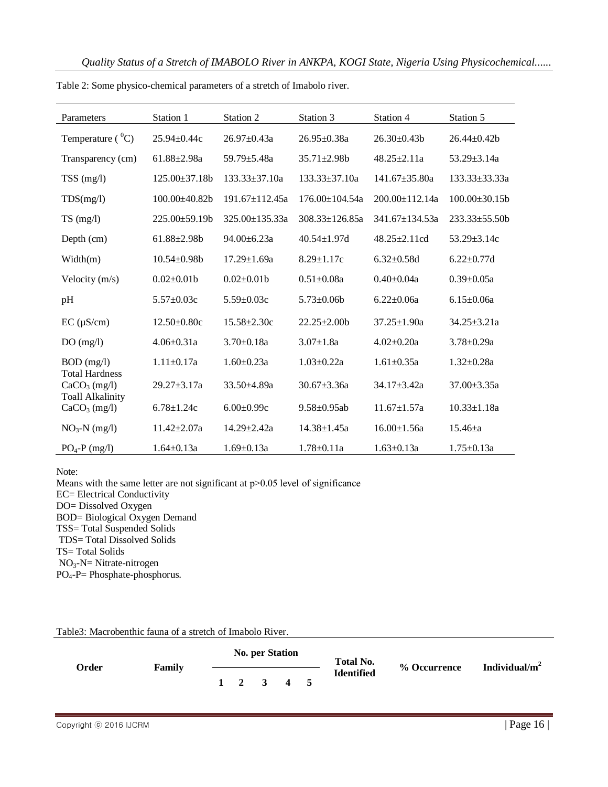| Parameters                                          | Station 1         | Station 2            | Station 3            | Station 4            | Station 5           |
|-----------------------------------------------------|-------------------|----------------------|----------------------|----------------------|---------------------|
| Temperature $(^0C)$                                 | $25.94 \pm 0.44c$ | $26.97 \pm 0.43a$    | $26.95 \pm 0.38a$    | $26.30\pm0.43b$      | $26.44 \pm 0.42b$   |
| Transparency (cm)                                   | $61.88 + 2.98a$   | $59.79 + 5.48a$      | $35.71 \pm 2.98$     | $48.25 \pm 2.11a$    | $53.29 + 3.14a$     |
| $TSS$ (mg/l)                                        | 125.00±37.18b     | $133.33 \pm 37.10a$  | $133.33 \pm 37.10a$  | $141.67 \pm 35.80a$  | $133.33 \pm 33.33a$ |
| TDS(mg/l)                                           | 100.00±40.82b     | $191.67 + 112.45a$   | $176.00 + 104.54a$   | $200.00+112.14a$     | $100.00\pm30.15h$   |
| TS(mg/l)                                            | $225.00\pm59.19b$ | $325.00 \pm 135.33a$ | $308.33 \pm 126.85a$ | $341.67 \pm 134.53a$ | $233.33\pm55.50b$   |
| Depth $(cm)$                                        | $61.88 \pm 2.98b$ | $94.00 \pm 6.23a$    | $40.54 \pm 1.97$ d   | $48.25 \pm 2.11$ cd  | $53.29 \pm 3.14c$   |
| Width(m)                                            | $10.54 \pm 0.98$  | $17.29 \pm 1.69a$    | $8.29 \pm 1.17c$     | $6.32+0.58d$         | $6.22 \pm 0.77$ d   |
| Velocity $(m/s)$                                    | $0.02 \pm 0.01$   | $0.02 \pm 0.01$      | $0.51 \pm 0.08a$     | $0.40+0.04a$         | $0.39 \pm 0.05a$    |
| pH                                                  | $5.57 \pm 0.03c$  | $5.59 \pm 0.03c$     | $5.73 \pm 0.06$      | $6.22+0.06a$         | $6.15 \pm 0.06a$    |
| $EC$ ( $\mu$ S/cm)                                  | $12.50 \pm 0.80c$ | $15.58 \pm 2.30c$    | $22.25 \pm 2.00$     | $37.25 \pm 1.90a$    | $34.25 \pm 3.21a$   |
| DO(mg/l)                                            | $4.06 \pm 0.31a$  | $3.70 \pm 0.18a$     | $3.07 \pm 1.8a$      | $4.02+0.20a$         | $3.78 \pm 0.29a$    |
| $BOD$ (mg/l)                                        | $1.11 \pm 0.17a$  | $1.60 \pm 0.23a$     | $1.03 \pm 0.22a$     | $1.61 \pm 0.35a$     | $1.32 \pm 0.28a$    |
| <b>Total Hardness</b><br>CaCO <sub>3</sub> (mg/l)   | $29.27 \pm 3.17a$ | 33.50±4.89a          | $30.67 \pm 3.36a$    | 34.17±3.42a          | $37.00 \pm 3.35a$   |
| <b>Toall Alkalinity</b><br>CaCO <sub>3</sub> (mg/l) | $6.78 \pm 1.24c$  | $6.00 \pm 0.99c$     | $9.58 \pm 0.95$ ab   | $11.67 \pm 1.57a$    | $10.33 \pm 1.18a$   |
| $NO3-N$ (mg/l)                                      | $11.42 \pm 2.07a$ | $14.29 \pm 2.42a$    | $14.38 \pm 1.45a$    | $16.00 \pm 1.56a$    | $15.46 \pm a$       |
| $PO4-P$ (mg/l)                                      | $1.64 \pm 0.13a$  | $1.69 \pm 0.13a$     | $1.78 \pm 0.11a$     | $1.63 \pm 0.13a$     | $1.75 \pm 0.13a$    |

Table 2: Some physico-chemical parameters of a stretch of Imabolo river.

Note:

Means with the same letter are not significant at  $p$  > 0.05 level of significance EC= Electrical Conductivity DO= Dissolved Oxygen BOD= Biological Oxygen Demand TSS= Total Suspended Solids TDS= Total Dissolved Solids TS= Total Solids NO3-N= Nitrate-nitrogen

PO4-P= Phosphate-phosphorus.

#### Table3: Macrobenthic fauna of a stretch of Imabolo River.

|       |        | <b>No. per Station</b> |  |                     |  |  | <b>Total No.</b>  | % Occurrence | Individual/ $m2$ |
|-------|--------|------------------------|--|---------------------|--|--|-------------------|--------------|------------------|
| Order | Family |                        |  | $1 \t2 \t3 \t4 \t5$ |  |  | <b>Identified</b> |              |                  |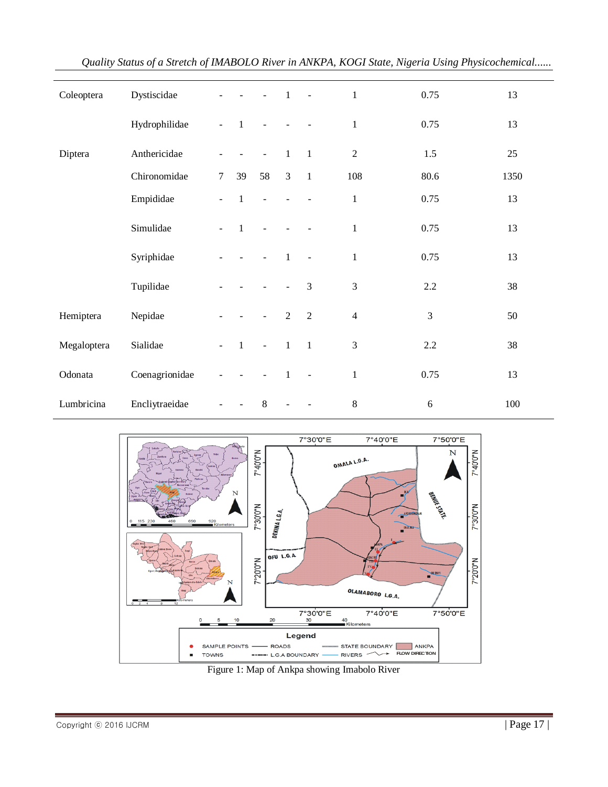| Coleoptera  | Dystiscidae    |                |                | $\Box$                   | $\overline{1}$ | $\sim$ $\sim$  | $\,1$          | 0.75           | 13   |
|-------------|----------------|----------------|----------------|--------------------------|----------------|----------------|----------------|----------------|------|
|             | Hydrophilidae  | $\blacksquare$ | $\mathbf{1}$   | $\blacksquare$           |                |                | $\mathbf{1}$   | 0.75           | 13   |
| Diptera     | Anthericidae   |                |                | $\blacksquare$           | $\mathbf{1}$   | $\overline{1}$ | $\overline{2}$ | 1.5            | 25   |
|             | Chironomidae   | $\tau$         | 39             | 58                       | $\mathfrak{Z}$ | $\overline{1}$ | 108            | 80.6           | 1350 |
|             | Empididae      |                | $\mathbf{1}$   | $\blacksquare$           |                |                | $\mathbf{1}$   | 0.75           | 13   |
|             | Simulidae      |                | $\overline{1}$ |                          |                |                | $\mathbf{1}$   | 0.75           | 13   |
|             | Syriphidae     |                |                |                          | $\overline{1}$ | $\overline{a}$ | $\,1$          | 0.75           | 13   |
|             | Tupilidae      |                |                |                          |                | 3              | 3              | $2.2\,$        | 38   |
| Hemiptera   | Nepidae        |                |                | $\overline{\phantom{a}}$ | $\overline{2}$ | $\overline{2}$ | $\overline{4}$ | $\mathfrak{Z}$ | 50   |
| Megaloptera | Sialidae       | $\blacksquare$ | $\overline{1}$ | $\Box$                   | $\mathbf{1}$   | $\overline{1}$ | 3              | 2.2            | 38   |
| Odonata     | Coenagrionidae |                |                |                          | 1              | $\overline{a}$ | $\mathbf{1}$   | 0.75           | 13   |
| Lumbricina  | Encliytraeidae |                |                | $\,8\,$                  |                |                | $8\,$          | $\sqrt{6}$     | 100  |

*Quality Status of a Stretch of IMABOLO River in ANKPA, KOGI State, Nigeria Using Physicochemical......*



Figure 1: Map of Ankpa showing Imabolo River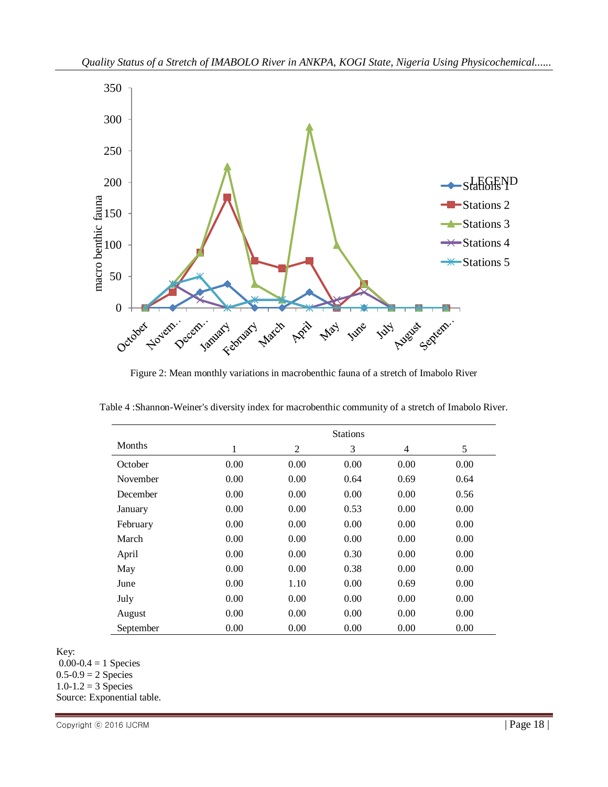

Figure 2: Mean monthly variations in macrobenthic fauna of a stretch of Imabolo River

|               | <b>Stations</b> |                |      |      |      |  |  |  |  |
|---------------|-----------------|----------------|------|------|------|--|--|--|--|
| <b>Months</b> | 1               | $\overline{2}$ | 3    | 4    | 5    |  |  |  |  |
| October       | 0.00            | 0.00           | 0.00 | 0.00 | 0.00 |  |  |  |  |
| November      | 0.00            | 0.00           | 0.64 | 0.69 | 0.64 |  |  |  |  |
| December      | 0.00            | 0.00           | 0.00 | 0.00 | 0.56 |  |  |  |  |
| January       | 0.00            | 0.00           | 0.53 | 0.00 | 0.00 |  |  |  |  |
| February      | 0.00            | 0.00           | 0.00 | 0.00 | 0.00 |  |  |  |  |
| March         | 0.00            | 0.00           | 0.00 | 0.00 | 0.00 |  |  |  |  |
| April         | 0.00            | 0.00           | 0.30 | 0.00 | 0.00 |  |  |  |  |
| May           | 0.00            | 0.00           | 0.38 | 0.00 | 0.00 |  |  |  |  |
| June          | 0.00            | 1.10           | 0.00 | 0.69 | 0.00 |  |  |  |  |
| July          | 0.00            | 0.00           | 0.00 | 0.00 | 0.00 |  |  |  |  |
| August        | 0.00            | 0.00           | 0.00 | 0.00 | 0.00 |  |  |  |  |
| September     | 0.00            | 0.00           | 0.00 | 0.00 | 0.00 |  |  |  |  |

Table 4 :Shannon-Weiner's diversity index for macrobenthic community of a stretch of Imabolo River.

Key:

 $0.00 - 0.4 = 1$  Species  $0.5 - 0.9 = 2$  Species  $1.0 - 1.2 = 3$  Species Source: Exponential table.